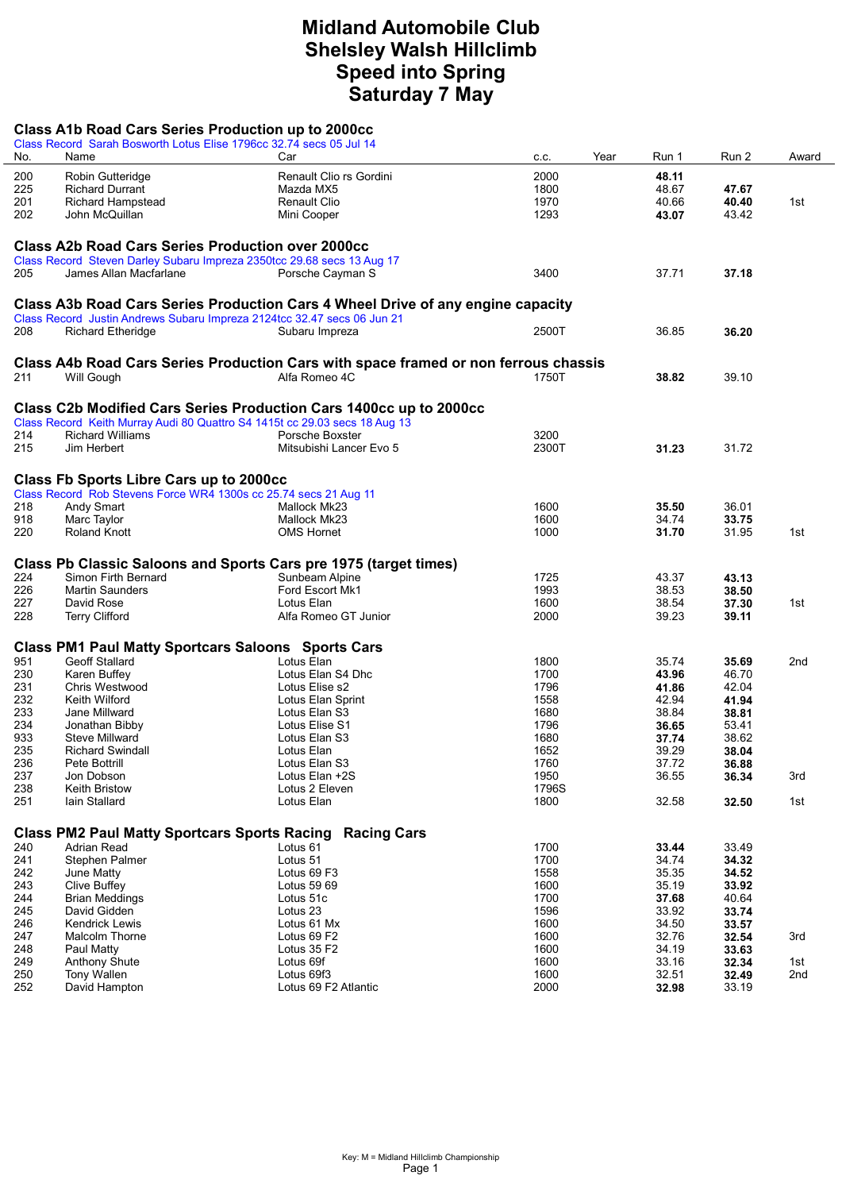## Midland Automobile Club Shelsley Walsh Hillclimb Speed into Spring Saturday 7 May

| No.        | Class Record Sarah Bosworth Lotus Elise 1796cc 32.74 secs 05 Jul 14<br>Name                                                        | Car                                                                                                  |               |                | Run 2          |            |
|------------|------------------------------------------------------------------------------------------------------------------------------------|------------------------------------------------------------------------------------------------------|---------------|----------------|----------------|------------|
|            |                                                                                                                                    |                                                                                                      | Year<br>c.c.  | Run 1          |                | Award      |
| 200        | Robin Gutteridge                                                                                                                   | Renault Clio rs Gordini                                                                              | 2000          | 48.11          |                |            |
| 225        | <b>Richard Durrant</b>                                                                                                             | Mazda MX5                                                                                            | 1800          | 48.67          | 47.67          |            |
| 201        | <b>Richard Hampstead</b>                                                                                                           | <b>Renault Clio</b>                                                                                  | 1970          | 40.66          | 40.40          | 1st        |
| 202        | John McQuillan                                                                                                                     | Mini Cooper                                                                                          | 1293          | 43.07          | 43.42          |            |
|            |                                                                                                                                    |                                                                                                      |               |                |                |            |
|            | <b>Class A2b Road Cars Series Production over 2000cc</b><br>Class Record Steven Darley Subaru Impreza 2350tcc 29.68 secs 13 Aug 17 |                                                                                                      |               |                |                |            |
| 205        | James Allan Macfarlane                                                                                                             | Porsche Cayman S                                                                                     | 3400          | 37.71          | 37.18          |            |
|            |                                                                                                                                    |                                                                                                      |               |                |                |            |
|            |                                                                                                                                    | Class A3b Road Cars Series Production Cars 4 Wheel Drive of any engine capacity                      |               |                |                |            |
|            |                                                                                                                                    | Class Record Justin Andrews Subaru Impreza 2124tcc 32.47 secs 06 Jun 21                              |               |                |                |            |
| 208        | <b>Richard Etheridge</b>                                                                                                           | Subaru Impreza                                                                                       | 2500T         | 36.85          | 36.20          |            |
|            |                                                                                                                                    |                                                                                                      |               |                |                |            |
| 211        | Will Gough                                                                                                                         | Class A4b Road Cars Series Production Cars with space framed or non ferrous chassis<br>Alfa Romeo 4C | 1750T         | 38.82          | 39.10          |            |
|            |                                                                                                                                    |                                                                                                      |               |                |                |            |
|            |                                                                                                                                    | Class C2b Modified Cars Series Production Cars 1400cc up to 2000cc                                   |               |                |                |            |
|            |                                                                                                                                    | Class Record Keith Murray Audi 80 Quattro S4 1415t cc 29.03 secs 18 Aug 13                           |               |                |                |            |
| 214        | <b>Richard Williams</b>                                                                                                            | Porsche Boxster                                                                                      | 3200          |                |                |            |
| 215        | Jim Herbert                                                                                                                        | Mitsubishi Lancer Evo 5                                                                              | 2300T         | 31.23          | 31.72          |            |
|            |                                                                                                                                    |                                                                                                      |               |                |                |            |
|            | <b>Class Fb Sports Libre Cars up to 2000cc</b>                                                                                     |                                                                                                      |               |                |                |            |
|            | Class Record Rob Stevens Force WR4 1300s cc 25.74 secs 21 Aug 11                                                                   |                                                                                                      |               |                |                |            |
| 218        | Andy Smart                                                                                                                         | Mallock Mk23                                                                                         | 1600          | 35.50          | 36.01          |            |
| 918        | Marc Taylor                                                                                                                        | Mallock Mk23                                                                                         | 1600          | 34.74          | 33.75          |            |
| 220        | <b>Roland Knott</b>                                                                                                                | OMS Hornet                                                                                           | 1000          | 31.70          | 31.95          | 1st        |
|            |                                                                                                                                    | Class Pb Classic Saloons and Sports Cars pre 1975 (target times)                                     |               |                |                |            |
|            | Simon Firth Bernard                                                                                                                |                                                                                                      |               |                |                |            |
| 224<br>226 | <b>Martin Saunders</b>                                                                                                             | Sunbeam Alpine<br>Ford Escort Mk1                                                                    | 1725<br>1993  | 43.37<br>38.53 | 43.13<br>38.50 |            |
| 227        | David Rose                                                                                                                         | Lotus Elan                                                                                           | 1600          | 38.54          | 37.30          | 1st        |
| 228        | <b>Terry Clifford</b>                                                                                                              | Alfa Romeo GT Junior                                                                                 | 2000          | 39.23          | 39.11          |            |
|            |                                                                                                                                    |                                                                                                      |               |                |                |            |
|            | <b>Class PM1 Paul Matty Sportcars Saloons Sports Cars</b>                                                                          |                                                                                                      |               |                |                |            |
| 951        | Geoff Stallard                                                                                                                     | Lotus Elan                                                                                           | 1800          | 35.74          | 35.69          | 2nd        |
| 230        | Karen Buffey                                                                                                                       | Lotus Elan S4 Dhc                                                                                    | 1700          | 43.96          | 46.70          |            |
| 231        | Chris Westwood                                                                                                                     | Lotus Elise s2                                                                                       | 1796          | 41.86          | 42.04          |            |
| 232        | Keith Wilford                                                                                                                      | Lotus Elan Sprint                                                                                    | 1558          | 42.94          | 41.94          |            |
| 233        | Jane Millward                                                                                                                      | Lotus Elan S3                                                                                        | 1680          | 38.84          | 38.81          |            |
| 234        | Jonathan Bibby                                                                                                                     | Lotus Elise S1                                                                                       | 1796          | 36.65          | 53.41          |            |
| 933        | <b>Steve Millward</b>                                                                                                              | Lotus Elan S3                                                                                        | 1680          | 37.74          | 38.62          |            |
| 235        | <b>Richard Swindall</b>                                                                                                            | Lotus Elan                                                                                           | 1652          | 39.29          | 38.04          |            |
| 236        | Pete Bottrill                                                                                                                      | Lotus Elan S3                                                                                        | 1760          | 37.72          | 36.88          |            |
| 237        | Jon Dobson                                                                                                                         | Lotus Elan +2S                                                                                       | 1950          | 36.55          | 36.34          | 3rd        |
| 238<br>251 | <b>Keith Bristow</b><br>lain Stallard                                                                                              | Lotus 2 Eleven<br>Lotus Elan                                                                         | 1796S<br>1800 | 32.58          | 32.50          | 1st        |
|            |                                                                                                                                    |                                                                                                      |               |                |                |            |
|            |                                                                                                                                    | <b>Class PM2 Paul Matty Sportcars Sports Racing Racing Cars</b>                                      |               |                |                |            |
| 240        | Adrian Read                                                                                                                        | Lotus <sub>61</sub>                                                                                  | 1700          | 33.44          | 33.49          |            |
| 241        | Stephen Palmer                                                                                                                     | Lotus 51                                                                                             | 1700          | 34.74          | 34.32          |            |
| 242        | June Matty                                                                                                                         | Lotus 69 F3                                                                                          | 1558          | 35.35          | 34.52          |            |
| 243        | Clive Buffey                                                                                                                       | Lotus 59 69                                                                                          | 1600          | 35.19          | 33.92          |            |
| 244        | <b>Brian Meddings</b>                                                                                                              | Lotus 51c                                                                                            | 1700          | 37.68          | 40.64          |            |
| 245        | David Gidden                                                                                                                       | Lotus 23                                                                                             | 1596          | 33.92          | 33.74          |            |
| 246        | Kendrick Lewis                                                                                                                     | Lotus 61 Mx                                                                                          | 1600          | 34.50          | 33.57          |            |
| 247        | Malcolm Thorne                                                                                                                     | Lotus 69 F2                                                                                          | 1600          | 32.76          | 32.54          | 3rd        |
| 248        | Paul Matty                                                                                                                         | Lotus 35 F2                                                                                          | 1600          | 34.19          | 33.63          |            |
| 249<br>250 | <b>Anthony Shute</b><br><b>Tony Wallen</b>                                                                                         | Lotus 69f<br>Lotus 69f3                                                                              | 1600<br>1600  | 33.16<br>32.51 | 32.34          | 1st<br>2nd |
| 252        | David Hampton                                                                                                                      | Lotus 69 F2 Atlantic                                                                                 | 2000          | 32.98          | 32.49<br>33.19 |            |
|            |                                                                                                                                    |                                                                                                      |               |                |                |            |